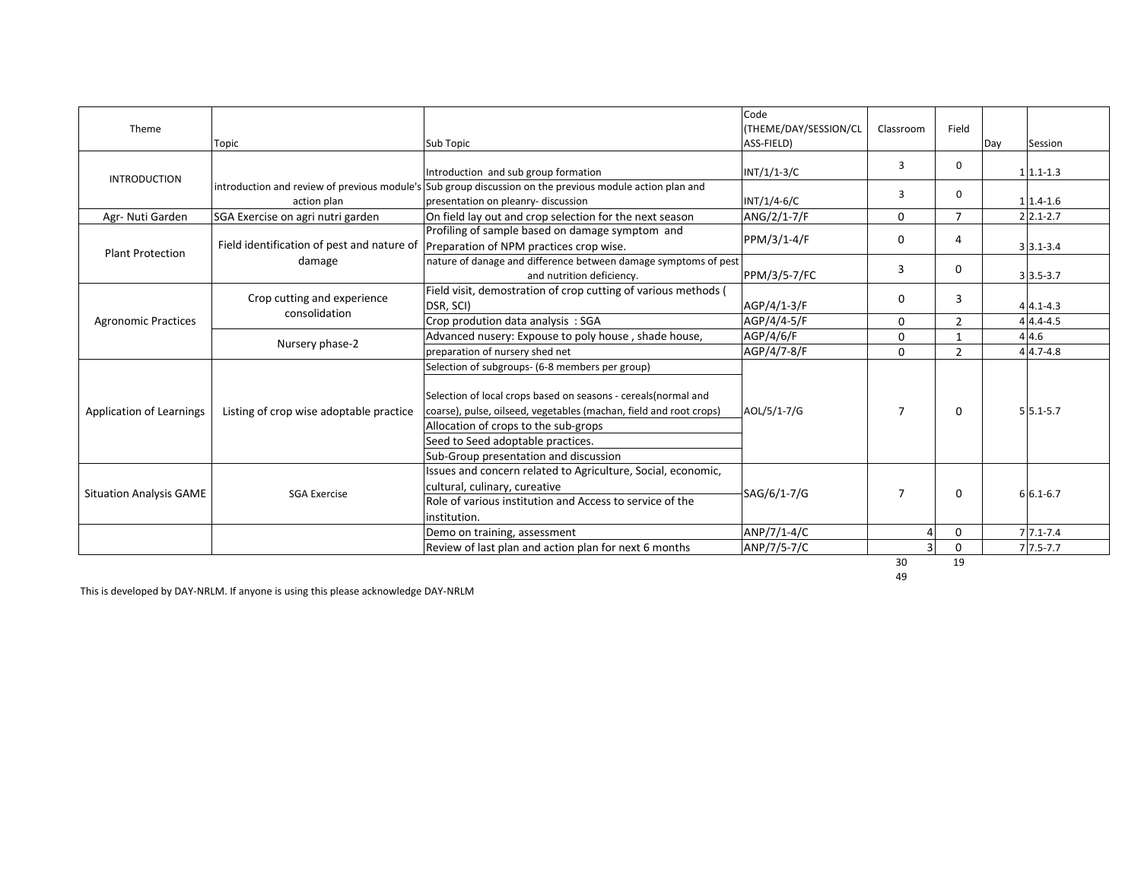| Theme                           | Topic                                                                                          | Sub Topic                                                                                                                                                                                                                                                                                                      | Code<br>(THEME/DAY/SESSION/CL<br>ASS-FIELD) | Classroom      | Field          | Day | Session                   |
|---------------------------------|------------------------------------------------------------------------------------------------|----------------------------------------------------------------------------------------------------------------------------------------------------------------------------------------------------------------------------------------------------------------------------------------------------------------|---------------------------------------------|----------------|----------------|-----|---------------------------|
| <b>INTRODUCTION</b>             |                                                                                                | Introduction and sub group formation                                                                                                                                                                                                                                                                           | $INT/1/1-3/C$                               | 3              | $\mathbf 0$    |     | $1 1.1-1.3$               |
|                                 | action plan                                                                                    | introduction and review of previous module's Sub group discussion on the previous module action plan and<br>presentation on pleanry- discussion                                                                                                                                                                | $INT/1/4-6/C$                               | 3              | $\Omega$       |     | $11.4 - 1.6$              |
| Agr- Nuti Garden                | SGA Exercise on agri nutri garden                                                              | On field lay out and crop selection for the next season                                                                                                                                                                                                                                                        | ANG/2/1-7/F                                 | 0              | $\overline{7}$ |     | $2$ 2.1-2.7               |
| <b>Plant Protection</b>         | Field identification of pest and nature of   Preparation of NPM practices crop wise.<br>damage | Profiling of sample based on damage symptom and                                                                                                                                                                                                                                                                | PPM/3/1-4/F                                 | 0              | 4              |     | $3 3.1 - 3.4$             |
|                                 |                                                                                                | nature of danage and difference between damage symptoms of pest<br>and nutrition deficiency.                                                                                                                                                                                                                   | PPM/3/5-7/FC                                | 3              | $\Omega$       |     | $3 \overline{)3.5 - 3.7}$ |
| <b>Agronomic Practices</b>      | Crop cutting and experience<br>consolidation                                                   | Field visit, demostration of crop cutting of various methods (<br>DSR, SCI)                                                                                                                                                                                                                                    | AGP/4/1-3/F                                 | 0              | 3              |     | $44.1 - 4.3$              |
|                                 |                                                                                                | Crop prodution data analysis: SGA                                                                                                                                                                                                                                                                              | AGP/4/4-5/F                                 | 0              | $\overline{2}$ |     | $44.4 - 4.5$              |
|                                 | Nursery phase-2                                                                                | Advanced nusery: Expouse to poly house, shade house,                                                                                                                                                                                                                                                           | AGP/4/6/F                                   | 0              | $\mathbf{1}$   |     | 44.6                      |
|                                 |                                                                                                | preparation of nursery shed net                                                                                                                                                                                                                                                                                | AGP/4/7-8/F                                 | $\Omega$       | $\overline{2}$ |     | $4 4.7-4.8$               |
| <b>Application of Learnings</b> | Listing of crop wise adoptable practice                                                        | Selection of subgroups- (6-8 members per group)<br>Selection of local crops based on seasons - cereals (normal and<br>coarse), pulse, oilseed, vegetables (machan, field and root crops)<br>Allocation of crops to the sub-grops<br>Seed to Seed adoptable practices.<br>Sub-Group presentation and discussion | AOL/5/1-7/G                                 | $\overline{7}$ | $\Omega$       |     | $5 5.1-5.7$               |
| <b>Situation Analysis GAME</b>  | <b>SGA Exercise</b>                                                                            | Issues and concern related to Agriculture, Social, economic,<br>cultural, culinary, cureative<br>Role of various institution and Access to service of the<br>institution.                                                                                                                                      | SAG/6/1-7/G                                 | $\overline{7}$ | 0              |     | $6 6.1-6.7$               |
|                                 |                                                                                                | Demo on training, assessment                                                                                                                                                                                                                                                                                   | ANP/7/1-4/C                                 | $\Delta$       | $\mathbf 0$    |     | $71.1 - 7.4$              |
|                                 |                                                                                                | Review of last plan and action plan for next 6 months                                                                                                                                                                                                                                                          | ANP/7/5-7/C                                 | 3              | $\Omega$       |     | $7\overline{7.5-7.7}$     |
|                                 |                                                                                                |                                                                                                                                                                                                                                                                                                                |                                             | 30             | 19             |     |                           |

49

This is developed by DAY-NRLM. If anyone is using this please acknowledge DAY-NRLM